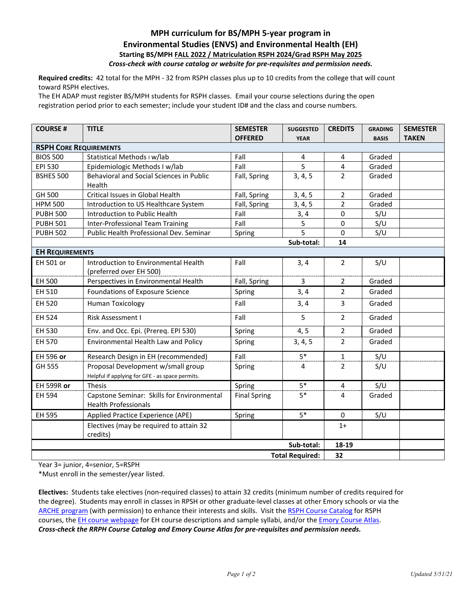## **MPH curriculum for BS/MPH 5-year program in Environmental Studies (ENVS) and Environmental Health (EH) Starting BS/MPH FALL 2022 / Matriculation RSPH 2024/Grad RSPH May 2025** *Cross-check with course catalog or website for pre-requisites and permission needs.*

**Required credits:** 42 total for the MPH - 32 from RSPH classes plus up to 10 credits from the college that will count toward RSPH electives.

The EH ADAP must register BS/MPH students for RSPH classes. Email your course selections during the open registration period prior to each semester; include your student ID# and the class and course numbers.

| <b>COURSE#</b>                | <b>TITLE</b>                                        | <b>SEMESTER</b><br><b>OFFERED</b> | <b>SUGGESTED</b><br><b>YEAR</b> | <b>CREDITS</b> | <b>GRADING</b><br><b>BASIS</b> | <b>SEMESTER</b><br><b>TAKEN</b> |  |  |
|-------------------------------|-----------------------------------------------------|-----------------------------------|---------------------------------|----------------|--------------------------------|---------------------------------|--|--|
| <b>RSPH CORE REQUIREMENTS</b> |                                                     |                                   |                                 |                |                                |                                 |  |  |
| <b>BIOS 500</b>               | Statistical Methods I w/lab                         | Fall                              | 4                               | 4              | Graded                         |                                 |  |  |
| EPI 530                       | Epidemiologic Methods I w/lab                       | Fall                              | $\overline{5}$                  | $\overline{4}$ | Graded                         |                                 |  |  |
| <b>BSHES 500</b>              | Behavioral and Social Sciences in Public            | Fall, Spring                      | 3, 4, 5                         | $\overline{2}$ | Graded                         |                                 |  |  |
|                               | Health                                              |                                   |                                 |                |                                |                                 |  |  |
| GH 500                        | Critical Issues in Global Health                    | Fall, Spring                      | 3, 4, 5                         | $\overline{2}$ | Graded                         |                                 |  |  |
| <b>HPM 500</b>                | Introduction to US Healthcare System                | Fall, Spring                      | 3, 4, 5                         | $\overline{2}$ | Graded                         |                                 |  |  |
| <b>PUBH 500</b>               | Introduction to Public Health                       | Fall                              | 3, 4                            | 0              | S/U                            |                                 |  |  |
| <b>PUBH 501</b>               | <b>Inter-Professional Team Training</b>             | Fall                              | 5                               | 0              | S/U                            |                                 |  |  |
| <b>PUBH 502</b>               | Public Health Professional Dev. Seminar             | Spring                            | 5                               | $\Omega$       | S/U                            |                                 |  |  |
|                               |                                                     |                                   | Sub-total:                      | 14             |                                |                                 |  |  |
| <b>EH REQUIREMENTS</b>        |                                                     |                                   |                                 |                |                                |                                 |  |  |
| EH 501 or                     | Introduction to Environmental Health                | Fall                              | 3, 4                            | $\overline{2}$ | S/U                            |                                 |  |  |
|                               | (preferred over EH 500)                             |                                   |                                 |                |                                |                                 |  |  |
| EH 500                        | Perspectives in Environmental Health                | Fall, Spring                      | 3                               | 2              | Graded                         |                                 |  |  |
| EH 510                        | Foundations of Exposure Science                     | Spring                            | 3, 4                            | $\overline{2}$ | Graded                         |                                 |  |  |
| EH 520                        | <b>Human Toxicology</b>                             | Fall                              | 3, 4                            | 3              | Graded                         |                                 |  |  |
| EH 524                        | Risk Assessment I                                   | Fall                              | 5                               | $\overline{2}$ | Graded                         |                                 |  |  |
| EH 530                        | Env. and Occ. Epi. (Prereq. EPI 530)                | Spring                            | 4, 5                            | $\overline{2}$ | Graded                         |                                 |  |  |
| EH 570                        | Environmental Health Law and Policy                 | Spring                            | 3, 4, 5                         | $\overline{2}$ | Graded                         |                                 |  |  |
| EH 596 or                     | Research Design in EH (recommended)                 | Fall                              | $5*$                            | $1\,$          | S/U                            |                                 |  |  |
| GH 555                        | Proposal Development w/small group                  | Spring                            | 4                               | 2              | S/U                            |                                 |  |  |
|                               | Helpful if applying for GFE - as space permits.     |                                   |                                 |                |                                |                                 |  |  |
| <b>EH 599R or</b>             | <b>Thesis</b>                                       | Spring                            | $5*$                            | $\overline{4}$ | S/U                            |                                 |  |  |
| EH 594                        | Capstone Seminar: Skills for Environmental          | <b>Final Spring</b>               | $5*$                            | $\overline{4}$ | Graded                         |                                 |  |  |
|                               | <b>Health Professionals</b>                         |                                   |                                 |                |                                |                                 |  |  |
| EH 595                        | Applied Practice Experience (APE)                   | Spring                            | $5*$                            | $\mathbf{0}$   | S/U                            |                                 |  |  |
|                               | Electives (may be required to attain 32<br>credits) |                                   |                                 | $1+$           |                                |                                 |  |  |
|                               |                                                     |                                   | Sub-total:                      | 18-19          |                                |                                 |  |  |
| <b>Total Required:</b><br>32  |                                                     |                                   |                                 |                |                                |                                 |  |  |

Year 3= junior, 4=senior, 5=RSPH

\*Must enroll in the semester/year listed.

**Electives:** Students take electives (non-required classes) to attain 32 credits (minimum number of credits required for the degree). Students may enroll in classes in RPSH or other graduate-level classes at other Emory schools or via the [ARCHE program](http://registrar.emory.edu/registration/cross-registration/emory-students.html) (with permission) to enhance their interests and skills. Visit the [RSPH Course Catalog](https://www.sph.emory.edu/rollins-life/enrollment-services/index.html) for RSPH courses, the [EH course webpage](https://www.sph.emory.edu/academics/courses/eh-courses/index.html) for EH course descriptions and sample syllabi, and/or the *Emory Course Atlas*. *Cross-check the RRPH Course Catalog and Emory Course Atlas for pre-requisites and permission needs.*